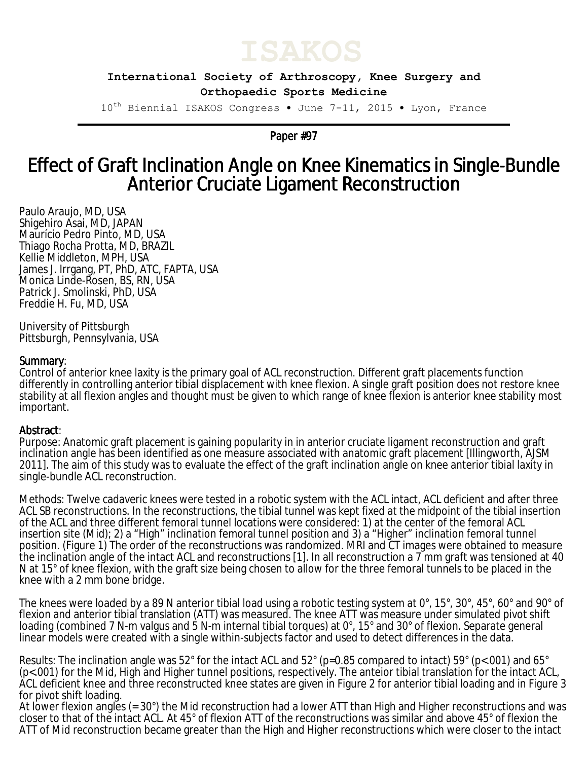

**International Society of Arthroscopy, Knee Surgery and Orthopaedic Sports Medicine**

10<sup>th</sup> Biennial ISAKOS Congress • June 7-11, 2015 • Lyon, France

Paper #97

## Effect of Graft Inclination Angle on Knee Kinematics in Single-Bundle Anterior Cruciate Ligament Reconstruction

Paulo Araujo, MD, USA Shigehiro Asai, MD, JAPAN Maurício Pedro Pinto, MD, USA Thiago Rocha Protta, MD, BRAZIL Kellie Middleton, MPH, USA James J. Irrgang, PT, PhD, ATC, FAPTA, USA Monica Linde-Rosen, BS, RN, USA Patrick J. Smolinski, PhD, USA Freddie H. Fu, MD, USA

University of Pittsburgh Pittsburgh, Pennsylvania, USA

## Summary:

Control of anterior knee laxity is the primary goal of ACL reconstruction. Different graft placements function differently in controlling anterior tibial displacement with knee flexion. A single graft position does not restore knee stability at all flexion angles and thought must be given to which range of knee flexion is anterior knee stability most important.

## Abstract:

Purpose: Anatomic graft placement is gaining popularity in in anterior cruciate ligament reconstruction and graft inclination angle has been identified as one measure associated with anatomic graft placement [Illingworth, AJSM 2011]. The aim of this study was to evaluate the effect of the graft inclination angle on knee anterior tibial laxity in single-bundle ACL reconstruction.

Methods: Twelve cadaveric knees were tested in a robotic system with the ACL intact, ACL deficient and after three ACL SB reconstructions. In the reconstructions, the tibial tunnel was kept fixed at the midpoint of the tibial insertion of the ACL and three different femoral tunnel locations were considered: 1) at the center of the femoral ACL insertion site (Mid); 2) a "High" inclination femoral tunnel position and 3) a "Higher" inclination femoral tunnel position. (Figure 1) The order of the reconstructions was randomized. MRI and CT images were obtained to measure the inclination angle of the intact ACL and reconstructions [1]. In all reconstruction a 7 mm graft was tensioned at 40 N at 15° of knee flexion, with the graft size being chosen to allow for the three femoral tunnels to be placed in the knee with a 2 mm bone bridge.

The knees were loaded by a 89 N anterior tibial load using a robotic testing system at 0°, 15°, 30°, 45°, 60° and 90° of flexion and anterior tibial translation (ATT) was measured. The knee ATT was measure under simulated pivot shift loading (combined 7 N-m valgus and 5 N-m internal tibial torques) at 0°, 15° and 30° of flexion. Separate general linear models were created with a single within-subjects factor and used to detect differences in the data.

Results: The inclination angle was 52° for the intact ACL and 52° (p=0.85 compared to intact) 59° (p<.001) and 65° (p<.001) for the Mid, High and Higher tunnel positions, respectively. The anteior tibial translation for the intact ACL, ACL deficient knee and three reconstructed knee states are given in Figure 2 for anterior tibial loading and in Figure 3 for pivot shift loading.

At lower flexion angles (= 30°) the Mid reconstruction had a lower ATT than High and Higher reconstructions and was closer to that of the intact ACL. At 45° of flexion ATT of the reconstructions was similar and above 45° of flexion the ATT of Mid reconstruction became greater than the High and Higher reconstructions which were closer to the intact